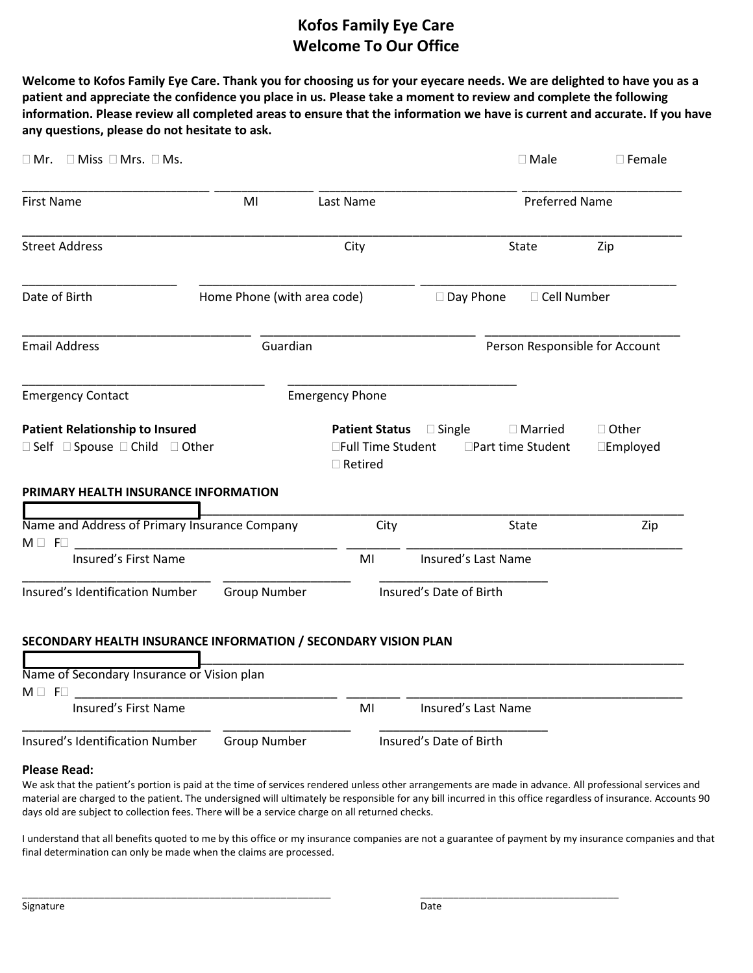## **Kofos Family Eye Care Welcome To Our Office**

**Welcome to Kofos Family Eye Care. Thank you for choosing us for your eyecare needs. We are delighted to have you as a patient and appreciate the confidence you place in us. Please take a moment to review and complete the following information. Please review all completed areas to ensure that the information we have is current and accurate. If you have any questions, please do not hesitate to ask.**

| $\Box$ Mr. $\Box$ Miss $\Box$ Mrs. $\Box$ Ms.                                                                     |                             |                                      |                              | $\square$ Male                  | $\square$ Female              |  |
|-------------------------------------------------------------------------------------------------------------------|-----------------------------|--------------------------------------|------------------------------|---------------------------------|-------------------------------|--|
| <b>First Name</b>                                                                                                 | MI                          | Last Name                            | <b>Preferred Name</b>        |                                 |                               |  |
| <b>Street Address</b>                                                                                             |                             | City                                 |                              | State                           | Zip                           |  |
| Date of Birth                                                                                                     | Home Phone (with area code) |                                      | $\Box$ Day Phone             | □ Cell Number                   |                               |  |
| <b>Email Address</b>                                                                                              | Guardian                    |                                      |                              | Person Responsible for Account  |                               |  |
| <b>Emergency Contact</b>                                                                                          |                             | <b>Emergency Phone</b>               |                              |                                 |                               |  |
| <b>Patient Relationship to Insured</b><br>□ Self □ Spouse □ Child □ Other<br>PRIMARY HEALTH INSURANCE INFORMATION |                             | □Full Time Student<br>$\Box$ Retired | <b>Patient Status Single</b> | □ Married<br>□Part time Student | □ Other<br>$\square$ Employed |  |
| Name and Address of Primary Insurance Company                                                                     |                             | City                                 |                              | <b>State</b>                    | Zip                           |  |
| $M \Box$ F $\Box$<br>Insured's First Name                                                                         |                             | MI                                   | Insured's Last Name          |                                 |                               |  |
| Insured's Identification Number                                                                                   | <b>Group Number</b>         |                                      | Insured's Date of Birth      |                                 |                               |  |
| SECONDARY HEALTH INSURANCE INFORMATION / SECONDARY VISION PLAN                                                    |                             |                                      |                              |                                 |                               |  |
| Name of Secondary Insurance or Vision plan<br>$M \square$ F $\square$                                             |                             |                                      |                              |                                 |                               |  |
| Insured's First Name                                                                                              |                             | MI                                   | Insured's Last Name          |                                 |                               |  |
| Insured's Identification Number                                                                                   | <b>Group Number</b>         |                                      | Insured's Date of Birth      |                                 |                               |  |

## **Please Read:**

We ask that the patient's portion is paid at the time of services rendered unless other arrangements are made in advance. All professional services and material are charged to the patient. The undersigned will ultimately be responsible for any bill incurred in this office regardless of insurance. Accounts 90 days old are subject to collection fees. There will be a service charge on all returned checks.

I understand that all benefits quoted to me by this office or my insurance companies are not a guarantee of payment by my insurance companies and that final determination can only be made when the claims are processed.

\_\_\_\_\_\_\_\_\_\_\_\_\_\_\_\_\_\_\_\_\_\_\_\_\_\_\_\_\_\_\_\_\_\_\_\_\_\_\_\_\_\_\_\_\_\_\_\_\_\_\_\_\_\_\_\_ \_\_\_\_\_\_\_\_\_\_\_\_\_\_\_\_\_\_\_\_\_\_\_\_\_\_\_\_\_\_\_\_\_\_\_\_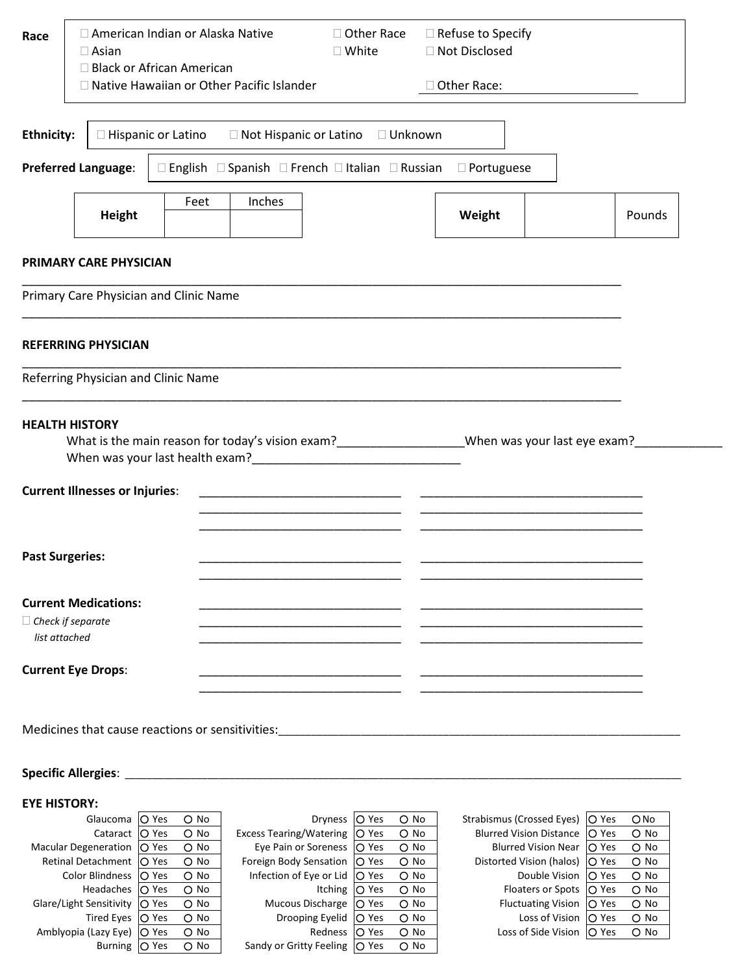| Race                                                                                        | □ American Indian or Alaska Native<br>$\Box$ Asian      | □ Other Race<br>□ Refuse to Specify<br>□ Not Disclosed<br>$\square$ White                                                                                                                                                            |  |               |  |        |  |  |  |
|---------------------------------------------------------------------------------------------|---------------------------------------------------------|--------------------------------------------------------------------------------------------------------------------------------------------------------------------------------------------------------------------------------------|--|---------------|--|--------|--|--|--|
|                                                                                             | □ Black or African American                             | □ Native Hawaiian or Other Pacific Islander                                                                                                                                                                                          |  | □ Other Race: |  |        |  |  |  |
| <b>Ethnicity:</b><br>$\Box$ Hispanic or Latino<br>□ Not Hispanic or Latino □ Unknown        |                                                         |                                                                                                                                                                                                                                      |  |               |  |        |  |  |  |
| <b>Preferred Language:</b><br>□ English □ Spanish □ French □ Italian □ Russian □ Portuguese |                                                         |                                                                                                                                                                                                                                      |  |               |  |        |  |  |  |
|                                                                                             | <b>Height</b>                                           | Inches<br>Feet                                                                                                                                                                                                                       |  | Weight        |  | Pounds |  |  |  |
|                                                                                             | PRIMARY CARE PHYSICIAN                                  |                                                                                                                                                                                                                                      |  |               |  |        |  |  |  |
|                                                                                             | Primary Care Physician and Clinic Name                  |                                                                                                                                                                                                                                      |  |               |  |        |  |  |  |
|                                                                                             | <b>REFERRING PHYSICIAN</b>                              |                                                                                                                                                                                                                                      |  |               |  |        |  |  |  |
|                                                                                             | Referring Physician and Clinic Name                     |                                                                                                                                                                                                                                      |  |               |  |        |  |  |  |
|                                                                                             | <b>HEALTH HISTORY</b>                                   |                                                                                                                                                                                                                                      |  |               |  |        |  |  |  |
|                                                                                             | <b>Current Illnesses or Injuries:</b>                   | <u> 1989 - Johann Harry Harry Harry Harry Harry Harry Harry Harry Harry Harry Harry Harry Harry Harry Harry Harry Harry Harry Harry Harry Harry Harry Harry Harry Harry Harry Harry Harry Harry Harry Harry Harry Harry Harry Ha</u> |  |               |  |        |  |  |  |
|                                                                                             |                                                         |                                                                                                                                                                                                                                      |  |               |  |        |  |  |  |
|                                                                                             | <b>Past Surgeries:</b>                                  |                                                                                                                                                                                                                                      |  |               |  |        |  |  |  |
| list attached                                                                               | <b>Current Medications:</b><br>$\Box$ Check if separate |                                                                                                                                                                                                                                      |  |               |  |        |  |  |  |
|                                                                                             | <b>Current Eye Drops:</b>                               |                                                                                                                                                                                                                                      |  |               |  |        |  |  |  |
|                                                                                             |                                                         |                                                                                                                                                                                                                                      |  |               |  |        |  |  |  |
|                                                                                             | <b>Specific Allergies:</b>                              |                                                                                                                                                                                                                                      |  |               |  |        |  |  |  |

## **EYE HISTORY:**

| ETE MISIURI.                    |              |               |                                            |              |               |                                |              |               |
|---------------------------------|--------------|---------------|--------------------------------------------|--------------|---------------|--------------------------------|--------------|---------------|
| Glaucoma   O Yes                |              | $\circ$ No    | Dryness   O Yes                            |              | $\bigcirc$ No | Strabismus (Crossed Eyes)      | <b>O</b> Yes | O No          |
| Cataract                        | <b>O</b> Yes | $\Omega$ No   | Excess Tearing/Watering   O Yes            |              | $O$ No        | <b>Blurred Vision Distance</b> | <b>O</b> Yes | $\circ$ No    |
| Macular Degeneration   O Yes    |              | $\circ$ No    | Eye Pain or Soreness   O Yes               |              | $O$ No        | <b>Blurred Vision Near</b>     | <b>O</b> Yes | $\bigcirc$ No |
| Retinal Detachment   O Yes      |              | $\bigcirc$ No | Foreign Body Sensation   O Yes             |              | $\bigcirc$ No | Distorted Vision (halos)       | <b>O</b> Yes | $\bigcirc$ No |
| Color Blindness IO Yes          |              | $\bigcirc$ No | Infection of Eye or Lid $\overline{O}$ Yes |              | $\bigcirc$ No | Double Vision                  | <b>O</b> Yes | $\bigcirc$ No |
| Headaches   O Yes               |              | $\circ$ No    | Itching   O Yes                            |              | $\bigcirc$ No | <b>Floaters or Spots</b>       | <b>O</b> Yes | $\bigcirc$ No |
| Glare/Light Sensitivity   O Yes |              | $\bigcirc$ No | Mucous Discharge   O Yes                   |              | $\bigcirc$ No | <b>Fluctuating Vision</b>      | <b>O</b> Yes | $\bigcirc$ No |
| Tired Eyes   O Yes              |              | $\bigcirc$ No | Drooping Eyelid                            | <b>O</b> Yes | $\bigcirc$ No | Loss of Vision                 | <b>O</b> Yes | $\bigcirc$ No |
| Amblyopia (Lazy Eye)            | <b>O</b> Yes | $\bigcirc$ No | Redness   O Yes                            |              | $\bigcirc$ No | Loss of Side Vision            | <b>O</b> Yes | $\bigcirc$ No |
| Burning   O Yes                 |              | $\bigcirc$ No | Sandy or Gritty Feeling   O Yes            |              | $\bigcirc$ No |                                |              |               |
|                                 |              |               |                                            |              |               |                                |              |               |